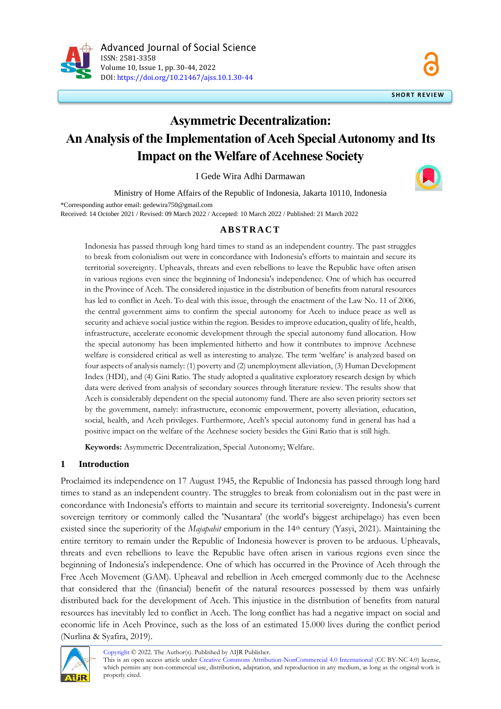

# **Asymmetric Decentralization: An Analysis of the Implementation of Aceh Special Autonomy and Its Impact on the Welfare of Acehnese Society**

I Gede Wira Adhi Darmawan

Ministry of Home Affairs of the Republic of Indonesia, Jakarta 10110, Indonesia \*Corresponding author email: gedewira750@gmail.com Received: 14 October 2021 / Revised: 09 March 2022 / Accepted: 10 March 2022 / Published: 21 March 2022

## **A B S T R A C T**

Indonesia has passed through long hard times to stand as an independent country. The past struggles to break from colonialism out were in concordance with Indonesia's efforts to maintain and secure its territorial sovereignty. Upheavals, threats and even rebellions to leave the Republic have often arisen in various regions even since the beginning of Indonesia's independence. One of which has occurred in the Province of Aceh. The considered injustice in the distribution of benefits from natural resources has led to conflict in Aceh. To deal with this issue, through the enactment of the Law No. 11 of 2006, the central government aims to confirm the special autonomy for Aceh to induce peace as well as security and achieve social justice within the region. Besides to improve education, quality of life, health, infrastructure, accelerate economic development through the special autonomy fund allocation. How the special autonomy has been implemented hitherto and how it contributes to improve Acehnese welfare is considered critical as well as interesting to analyze. The term 'welfare' is analyzed based on four aspects of analysis namely: (1) poverty and (2) unemployment alleviation, (3) Human Development Index (HDI), and (4) Gini Ratio. The study adopted a qualitative exploratory research design by which data were derived from analysis of secondary sources through literature review. The results show that Aceh is considerably dependent on the special autonomy fund. There are also seven priority sectors set by the government, namely: infrastructure, economic empowerment, poverty alleviation, education, social, health, and Aceh privileges. Furthermore, Aceh's special autonomy fund in general has had a positive impact on the welfare of the Acehnese society besides the Gini Ratio that is still high.

**Keywords:** Asymmetric Decentralization, Special Autonomy; Welfare.

### **1 Introduction**

Proclaimed its independence on 17 August 1945, the Republic of Indonesia has passed through long hard times to stand as an independent country. The struggles to break from colonialism out in the past were in concordance with Indonesia's efforts to maintain and secure its territorial sovereignty. Indonesia's current sovereign territory or commonly called the 'Nusantara' (the world's biggest archipelago) has even been existed since the superiority of the *Majapahit* emporium in the 14<sup>th</sup> century (Yasyi, 2021). Maintaining the entire territory to remain under the Republic of Indonesia however is proven to be arduous. Upheavals, threats and even rebellions to leave the Republic have often arisen in various regions even since the beginning of Indonesia's independence. One of which has occurred in the Province of Aceh through the Free Aceh Movement (GAM). Upheaval and rebellion in Aceh emerged commonly due to the Acehnese that considered that the (financial) benefit of the natural resources possessed by them was unfairly distributed back for the development of Aceh. This injustice in the distribution of benefits from natural resources has inevitably led to conflict in Aceh. The long conflict has had a negative impact on social and economic life in Aceh Province, such as the loss of an estimated 15.000 lives during the conflict period (Nurlina & Syafira, 2019).



[Copyright](https://aijr.org/about/policies/copyright/) © 2022. The Author(s). Published by AIJR Publisher.

This is an open access article under [Creative Commons Attribution-NonCommercial 4.0 International](https://creativecommons.org/licenses/by-nc/4.0/) (CC BY-NC 4.0) license, which permits any non-commercial use, distribution, adaptation, and reproduction in any medium, as long as the original work is properly cited.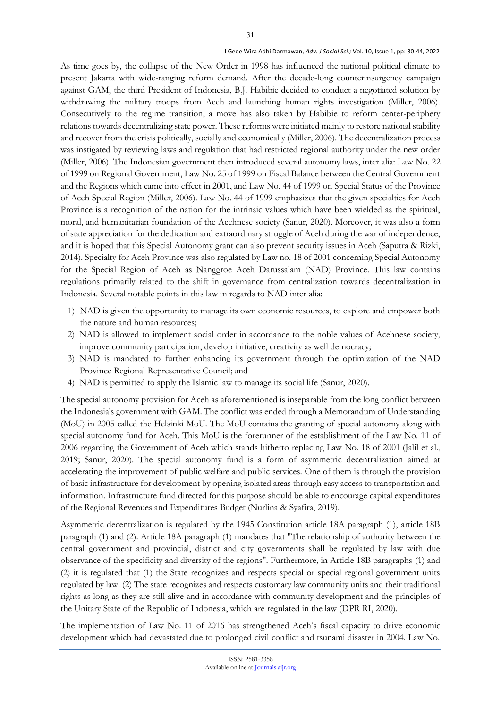#### I Gede Wira Adhi Darmawan, *Adv. J Social Sci.;* Vol. 10, Issue 1, pp: 30-44, 2022

As time goes by, the collapse of the New Order in 1998 has influenced the national political climate to present Jakarta with wide-ranging reform demand. After the decade-long counterinsurgency campaign against GAM, the third President of Indonesia, B.J. Habibie decided to conduct a negotiated solution by withdrawing the military troops from Aceh and launching human rights investigation (Miller, 2006). Consecutively to the regime transition, a move has also taken by Habibie to reform center-periphery relations towards decentralizing state power. These reforms were initiated mainly to restore national stability and recover from the crisis politically, socially and economically (Miller, 2006). The decentralization process was instigated by reviewing laws and regulation that had restricted regional authority under the new order (Miller, 2006). The Indonesian government then introduced several autonomy laws, inter alia: Law No. 22 of 1999 on Regional Government, Law No. 25 of 1999 on Fiscal Balance between the Central Government and the Regions which came into effect in 2001, and Law No. 44 of 1999 on Special Status of the Province of Aceh Special Region (Miller, 2006). Law No. 44 of 1999 emphasizes that the given specialties for Aceh Province is a recognition of the nation for the intrinsic values which have been wielded as the spiritual, moral, and humanitarian foundation of the Acehnese society (Sanur, 2020). Moreover, it was also a form of state appreciation for the dedication and extraordinary struggle of Aceh during the war of independence, and it is hoped that this Special Autonomy grant can also prevent security issues in Aceh (Saputra & Rizki, 2014). Specialty for Aceh Province was also regulated by Law no. 18 of 2001 concerning Special Autonomy for the Special Region of Aceh as Nanggroe Aceh Darussalam (NAD) Province. This law contains regulations primarily related to the shift in governance from centralization towards decentralization in Indonesia. Several notable points in this law in regards to NAD inter alia:

- 1) NAD is given the opportunity to manage its own economic resources, to explore and empower both the nature and human resources;
- 2) NAD is allowed to implement social order in accordance to the noble values of Acehnese society, improve community participation, develop initiative, creativity as well democracy;
- 3) NAD is mandated to further enhancing its government through the optimization of the NAD Province Regional Representative Council; and
- 4) NAD is permitted to apply the Islamic law to manage its social life (Sanur, 2020).

The special autonomy provision for Aceh as aforementioned is inseparable from the long conflict between the Indonesia's government with GAM. The conflict was ended through a Memorandum of Understanding (MoU) in 2005 called the Helsinki MoU. The MoU contains the granting of special autonomy along with special autonomy fund for Aceh. This MoU is the forerunner of the establishment of the Law No. 11 of 2006 regarding the Government of Aceh which stands hitherto replacing Law No. 18 of 2001 (Jalil et al., 2019; Sanur, 2020). The special autonomy fund is a form of asymmetric decentralization aimed at accelerating the improvement of public welfare and public services. One of them is through the provision of basic infrastructure for development by opening isolated areas through easy access to transportation and information. Infrastructure fund directed for this purpose should be able to encourage capital expenditures of the Regional Revenues and Expenditures Budget (Nurlina & Syafira, 2019).

Asymmetric decentralization is regulated by the 1945 Constitution article 18A paragraph (1), article 18B paragraph (1) and (2). Article 18A paragraph (1) mandates that "The relationship of authority between the central government and provincial, district and city governments shall be regulated by law with due observance of the specificity and diversity of the regions". Furthermore, in Article 18B paragraphs (1) and (2) it is regulated that (1) the State recognizes and respects special or special regional government units regulated by law. (2) The state recognizes and respects customary law community units and their traditional rights as long as they are still alive and in accordance with community development and the principles of the Unitary State of the Republic of Indonesia, which are regulated in the law (DPR RI, 2020).

The implementation of Law No. 11 of 2016 has strengthened Aceh's fiscal capacity to drive economic development which had devastated due to prolonged civil conflict and tsunami disaster in 2004. Law No.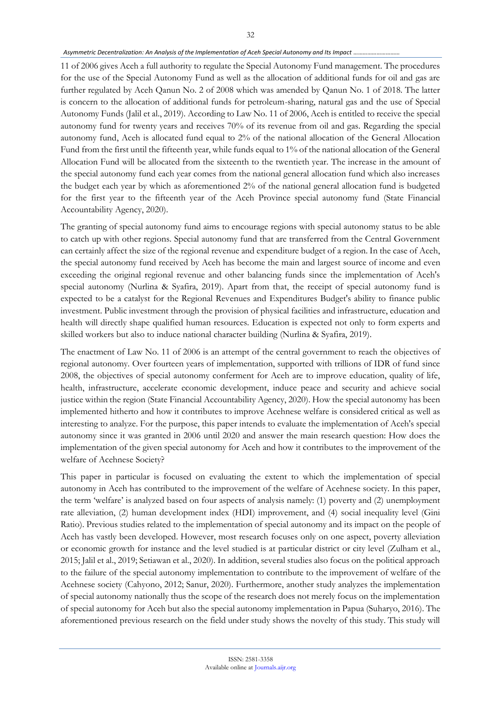#### *Asymmetric Decentralization: An Analysis of the Implementation of Aceh Special Autonomy and Its Impact …………………………*

11 of 2006 gives Aceh a full authority to regulate the Special Autonomy Fund management. The procedures for the use of the Special Autonomy Fund as well as the allocation of additional funds for oil and gas are further regulated by Aceh Qanun No. 2 of 2008 which was amended by Qanun No. 1 of 2018. The latter is concern to the allocation of additional funds for petroleum-sharing, natural gas and the use of Special Autonomy Funds (Jalil et al., 2019). According to Law No. 11 of 2006, Aceh is entitled to receive the special autonomy fund for twenty years and receives 70% of its revenue from oil and gas. Regarding the special autonomy fund, Aceh is allocated fund equal to 2% of the national allocation of the General Allocation Fund from the first until the fifteenth year, while funds equal to 1% of the national allocation of the General Allocation Fund will be allocated from the sixteenth to the twentieth year. The increase in the amount of the special autonomy fund each year comes from the national general allocation fund which also increases the budget each year by which as aforementioned 2% of the national general allocation fund is budgeted for the first year to the fifteenth year of the Aceh Province special autonomy fund (State Financial Accountability Agency, 2020).

The granting of special autonomy fund aims to encourage regions with special autonomy status to be able to catch up with other regions. Special autonomy fund that are transferred from the Central Government can certainly affect the size of the regional revenue and expenditure budget of a region. In the case of Aceh, the special autonomy fund received by Aceh has become the main and largest source of income and even exceeding the original regional revenue and other balancing funds since the implementation of Aceh's special autonomy (Nurlina & Syafira, 2019). Apart from that, the receipt of special autonomy fund is expected to be a catalyst for the Regional Revenues and Expenditures Budget's ability to finance public investment. Public investment through the provision of physical facilities and infrastructure, education and health will directly shape qualified human resources. Education is expected not only to form experts and skilled workers but also to induce national character building (Nurlina & Syafira, 2019).

The enactment of Law No. 11 of 2006 is an attempt of the central government to reach the objectives of regional autonomy. Over fourteen years of implementation, supported with trillions of IDR of fund since 2008, the objectives of special autonomy conferment for Aceh are to improve education, quality of life, health, infrastructure, accelerate economic development, induce peace and security and achieve social justice within the region (State Financial Accountability Agency, 2020). How the special autonomy has been implemented hitherto and how it contributes to improve Acehnese welfare is considered critical as well as interesting to analyze. For the purpose, this paper intends to evaluate the implementation of Aceh's special autonomy since it was granted in 2006 until 2020 and answer the main research question: How does the implementation of the given special autonomy for Aceh and how it contributes to the improvement of the welfare of Acehnese Society?

This paper in particular is focused on evaluating the extent to which the implementation of special autonomy in Aceh has contributed to the improvement of the welfare of Acehnese society. In this paper, the term 'welfare' is analyzed based on four aspects of analysis namely: (1) poverty and (2) unemployment rate alleviation, (2) human development index (HDI) improvement, and (4) social inequality level (Gini Ratio). Previous studies related to the implementation of special autonomy and its impact on the people of Aceh has vastly been developed. However, most research focuses only on one aspect, poverty alleviation or economic growth for instance and the level studied is at particular district or city level (Zulham et al., 2015; Jalil et al., 2019; Setiawan et al., 2020). In addition, several studies also focus on the political approach to the failure of the special autonomy implementation to contribute to the improvement of welfare of the Acehnese society (Cahyono, 2012; Sanur, 2020). Furthermore, another study analyzes the implementation of special autonomy nationally thus the scope of the research does not merely focus on the implementation of special autonomy for Aceh but also the special autonomy implementation in Papua (Suharyo, 2016). The aforementioned previous research on the field under study shows the novelty of this study. This study will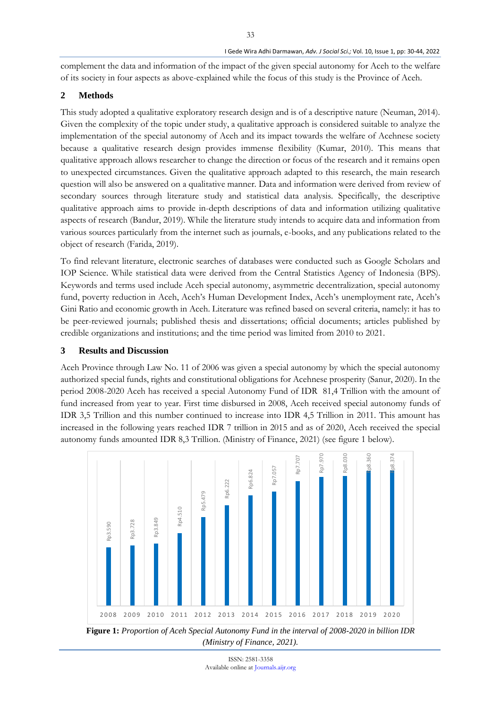complement the data and information of the impact of the given special autonomy for Aceh to the welfare of its society in four aspects as above-explained while the focus of this study is the Province of Aceh.

33

# **2 Methods**

This study adopted a qualitative exploratory research design and is of a descriptive nature (Neuman, 2014). Given the complexity of the topic under study, a qualitative approach is considered suitable to analyze the implementation of the special autonomy of Aceh and its impact towards the welfare of Acehnese society because a qualitative research design provides immense flexibility (Kumar, 2010). This means that qualitative approach allows researcher to change the direction or focus of the research and it remains open to unexpected circumstances. Given the qualitative approach adapted to this research, the main research question will also be answered on a qualitative manner. Data and information were derived from review of secondary sources through literature study and statistical data analysis. Specifically, the descriptive qualitative approach aims to provide in-depth descriptions of data and information utilizing qualitative aspects of research (Bandur, 2019). While the literature study intends to acquire data and information from various sources particularly from the internet such as journals, e-books, and any publications related to the object of research (Farida, 2019).

To find relevant literature, electronic searches of databases were conducted such as Google Scholars and IOP Science. While statistical data were derived from the Central Statistics Agency of Indonesia (BPS). Keywords and terms used include Aceh special autonomy, asymmetric decentralization, special autonomy fund, poverty reduction in Aceh, Aceh's Human Development Index, Aceh's unemployment rate, Aceh's Gini Ratio and economic growth in Aceh. Literature was refined based on several criteria, namely: it has to be peer-reviewed journals; published thesis and dissertations; official documents; articles published by credible organizations and institutions; and the time period was limited from 2010 to 2021.

### **3 Results and Discussion**

Aceh Province through Law No. 11 of 2006 was given a special autonomy by which the special autonomy authorized special funds, rights and constitutional obligations for Acehnese prosperity (Sanur, 2020). In the period 2008-2020 Aceh has received a special Autonomy Fund of IDR 81,4 Trillion with the amount of fund increased from year to year. First time disbursed in 2008, Aceh received special autonomy funds of IDR 3,5 Trillion and this number continued to increase into IDR 4,5 Trillion in 2011. This amount has increased in the following years reached IDR 7 trillion in 2015 and as of 2020, Aceh received the special autonomy funds amounted IDR 8,3 Trillion. (Ministry of Finance, 2021) (see figure 1 below).



**Figure 1:** *Proportion of Aceh Special Autonomy Fund in the interval of 2008-2020 in billion IDR (Ministry of Finance, 2021).*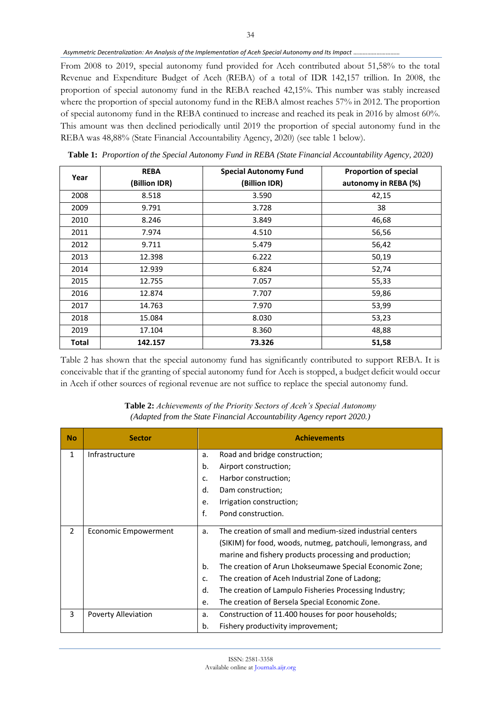#### *Asymmetric Decentralization: An Analysis of the Implementation of Aceh Special Autonomy and Its Impact …………………………*

From 2008 to 2019, special autonomy fund provided for Aceh contributed about 51,58% to the total Revenue and Expenditure Budget of Aceh (REBA) of a total of IDR 142,157 trillion. In 2008, the proportion of special autonomy fund in the REBA reached 42,15%. This number was stably increased where the proportion of special autonomy fund in the REBA almost reaches 57% in 2012. The proportion of special autonomy fund in the REBA continued to increase and reached its peak in 2016 by almost 60%. This amount was then declined periodically until 2019 the proportion of special autonomy fund in the REBA was 48,88% (State Financial Accountability Agency, 2020) (see table 1 below).

| Year  | <b>REBA</b>   | <b>Special Autonomy Fund</b> | <b>Proportion of special</b> |
|-------|---------------|------------------------------|------------------------------|
|       | (Billion IDR) | (Billion IDR)                | autonomy in REBA (%)         |
| 2008  | 8.518         | 3.590                        | 42,15                        |
| 2009  | 9.791         | 3.728                        | 38                           |
| 2010  | 8.246         | 3.849                        | 46,68                        |
| 2011  | 7.974         | 4.510                        | 56,56                        |
| 2012  | 9.711         | 5.479                        | 56,42                        |
| 2013  | 12.398        | 6.222                        | 50,19                        |
| 2014  | 12.939        | 6.824                        | 52,74                        |
| 2015  | 12.755        | 7.057                        | 55,33                        |
| 2016  | 12.874        | 7.707                        | 59,86                        |
| 2017  | 14.763        | 7.970                        | 53,99                        |
| 2018  | 15.084        | 8.030                        | 53,23                        |
| 2019  | 17.104        | 8.360                        | 48,88                        |
| Total | 142.157       | 73.326                       | 51,58                        |

**Table 1:** *Proportion of the Special Autonomy Fund in REBA (State Financial Accountability Agency, 2020)*

Table 2 has shown that the special autonomy fund has significantly contributed to support REBA. It is conceivable that if the granting of special autonomy fund for Aceh is stopped, a budget deficit would occur in Aceh if other sources of regional revenue are not suffice to replace the special autonomy fund.

| <b>No</b>      | <b>Sector</b>        | <b>Achievements</b>                                                                                                                                                                                                                                                                                                                                                                                                                        |  |
|----------------|----------------------|--------------------------------------------------------------------------------------------------------------------------------------------------------------------------------------------------------------------------------------------------------------------------------------------------------------------------------------------------------------------------------------------------------------------------------------------|--|
| 1              | Infrastructure       | Road and bridge construction;<br>a.                                                                                                                                                                                                                                                                                                                                                                                                        |  |
|                |                      | b.<br>Airport construction;                                                                                                                                                                                                                                                                                                                                                                                                                |  |
|                |                      | Harbor construction;<br>c.                                                                                                                                                                                                                                                                                                                                                                                                                 |  |
|                |                      | d.<br>Dam construction;                                                                                                                                                                                                                                                                                                                                                                                                                    |  |
|                |                      | Irrigation construction;<br>e.                                                                                                                                                                                                                                                                                                                                                                                                             |  |
|                |                      | f.<br>Pond construction.                                                                                                                                                                                                                                                                                                                                                                                                                   |  |
| $\overline{2}$ | Economic Empowerment | The creation of small and medium-sized industrial centers<br>a.<br>(SIKIM) for food, woods, nutmeg, patchouli, lemongrass, and<br>marine and fishery products processing and production;<br>b.<br>The creation of Arun Lhokseumawe Special Economic Zone;<br>The creation of Aceh Industrial Zone of Ladong;<br>c.<br>d.<br>The creation of Lampulo Fisheries Processing Industry;<br>The creation of Bersela Special Economic Zone.<br>e. |  |
| 3              | Poverty Alleviation  | Construction of 11.400 houses for poor households;<br>a.                                                                                                                                                                                                                                                                                                                                                                                   |  |
|                |                      | b.<br>Fishery productivity improvement;                                                                                                                                                                                                                                                                                                                                                                                                    |  |

**Table 2:** *Achievements of the Priority Sectors of Aceh's Special Autonomy (Adapted from the State Financial Accountability Agency report 2020.)*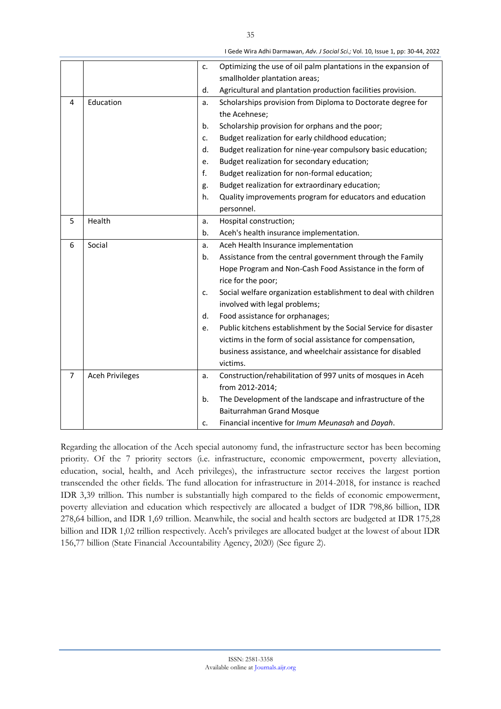|                |                        | c.                                                         | Optimizing the use of oil palm plantations in the expansion of   |  |
|----------------|------------------------|------------------------------------------------------------|------------------------------------------------------------------|--|
|                |                        |                                                            | smallholder plantation areas;                                    |  |
|                |                        | d.                                                         | Agricultural and plantation production facilities provision.     |  |
| 4              | Education              | a.                                                         | Scholarships provision from Diploma to Doctorate degree for      |  |
|                |                        |                                                            | the Acehnese;                                                    |  |
|                |                        | b.                                                         | Scholarship provision for orphans and the poor;                  |  |
|                |                        | c.                                                         | Budget realization for early childhood education;                |  |
|                |                        | d.                                                         | Budget realization for nine-year compulsory basic education;     |  |
|                |                        | e.                                                         | Budget realization for secondary education;                      |  |
|                |                        | f.                                                         | Budget realization for non-formal education;                     |  |
|                |                        | g.                                                         | Budget realization for extraordinary education;                  |  |
|                |                        | h.                                                         | Quality improvements program for educators and education         |  |
|                |                        |                                                            | personnel.                                                       |  |
| 5              | Health                 | a.                                                         | Hospital construction;                                           |  |
|                |                        | b.                                                         | Aceh's health insurance implementation.                          |  |
| 6              | Social                 | a.                                                         | Aceh Health Insurance implementation                             |  |
|                |                        | b.                                                         | Assistance from the central government through the Family        |  |
|                |                        |                                                            | Hope Program and Non-Cash Food Assistance in the form of         |  |
|                |                        |                                                            | rice for the poor;                                               |  |
|                |                        | c.                                                         | Social welfare organization establishment to deal with children  |  |
|                |                        |                                                            | involved with legal problems;                                    |  |
|                |                        | Food assistance for orphanages;<br>d.                      |                                                                  |  |
|                |                        | e.                                                         | Public kitchens establishment by the Social Service for disaster |  |
|                |                        | victims in the form of social assistance for compensation, |                                                                  |  |
|                |                        |                                                            | business assistance, and wheelchair assistance for disabled      |  |
|                |                        |                                                            | victims.                                                         |  |
| $\overline{7}$ | <b>Aceh Privileges</b> | a.                                                         | Construction/rehabilitation of 997 units of mosques in Aceh      |  |
|                |                        |                                                            | from 2012-2014;                                                  |  |
|                |                        | b.                                                         | The Development of the landscape and infrastructure of the       |  |
|                |                        |                                                            | <b>Baiturrahman Grand Mosque</b>                                 |  |
|                |                        | c.                                                         | Financial incentive for Imum Meunasah and Dayah.                 |  |

Regarding the allocation of the Aceh special autonomy fund, the infrastructure sector has been becoming priority. Of the 7 priority sectors (i.e. infrastructure, economic empowerment, poverty alleviation, education, social, health, and Aceh privileges), the infrastructure sector receives the largest portion transcended the other fields. The fund allocation for infrastructure in 2014-2018, for instance is reached IDR 3,39 trillion. This number is substantially high compared to the fields of economic empowerment, poverty alleviation and education which respectively are allocated a budget of IDR 798,86 billion, IDR 278,64 billion, and IDR 1,69 trillion. Meanwhile, the social and health sectors are budgeted at IDR 175,28 billion and IDR 1,02 trillion respectively. Aceh's privileges are allocated budget at the lowest of about IDR 156,77 billion (State Financial Accountability Agency, 2020) (See figure 2).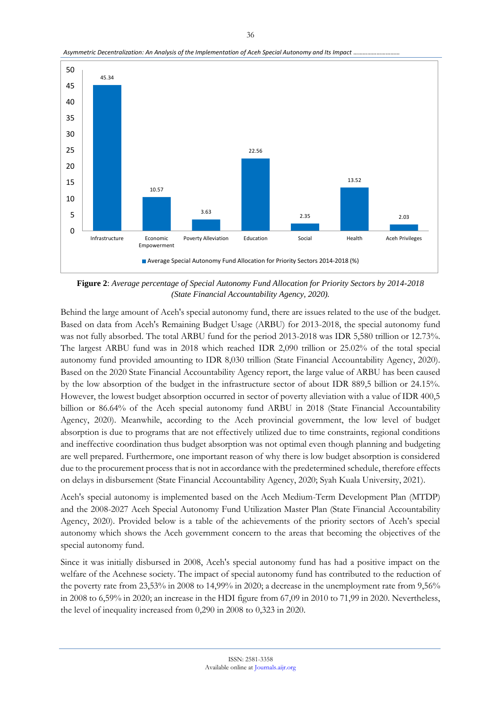

*Asymmetric Decentralization: An Analysis of the Implementation of Aceh Special Autonomy and Its Impact …………………………*

**Figure 2**: *Average percentage of Special Autonomy Fund Allocation for Priority Sectors by 2014-2018 (State Financial Accountability Agency, 2020).*

Behind the large amount of Aceh's special autonomy fund, there are issues related to the use of the budget. Based on data from Aceh's Remaining Budget Usage (ARBU) for 2013-2018, the special autonomy fund was not fully absorbed. The total ARBU fund for the period 2013-2018 was IDR 5,580 trillion or 12.73%. The largest ARBU fund was in 2018 which reached IDR 2,090 trillion or 25.02% of the total special autonomy fund provided amounting to IDR 8,030 trillion (State Financial Accountability Agency, 2020). Based on the 2020 State Financial Accountability Agency report, the large value of ARBU has been caused by the low absorption of the budget in the infrastructure sector of about IDR 889,5 billion or 24.15%. However, the lowest budget absorption occurred in sector of poverty alleviation with a value of IDR 400,5 billion or 86.64% of the Aceh special autonomy fund ARBU in 2018 (State Financial Accountability Agency, 2020). Meanwhile, according to the Aceh provincial government, the low level of budget absorption is due to programs that are not effectively utilized due to time constraints, regional conditions and ineffective coordination thus budget absorption was not optimal even though planning and budgeting are well prepared. Furthermore, one important reason of why there is low budget absorption is considered due to the procurement process that is not in accordance with the predetermined schedule, therefore effects on delays in disbursement (State Financial Accountability Agency, 2020; Syah Kuala University, 2021).

Aceh's special autonomy is implemented based on the Aceh Medium-Term Development Plan (MTDP) and the 2008-2027 Aceh Special Autonomy Fund Utilization Master Plan (State Financial Accountability Agency, 2020). Provided below is a table of the achievements of the priority sectors of Aceh's special autonomy which shows the Aceh government concern to the areas that becoming the objectives of the special autonomy fund.

Since it was initially disbursed in 2008, Aceh's special autonomy fund has had a positive impact on the welfare of the Acehnese society. The impact of special autonomy fund has contributed to the reduction of the poverty rate from 23,53% in 2008 to 14,99% in 2020; a decrease in the unemployment rate from 9,56% in 2008 to 6,59% in 2020; an increase in the HDI figure from 67,09 in 2010 to 71,99 in 2020. Nevertheless, the level of inequality increased from 0,290 in 2008 to 0,323 in 2020.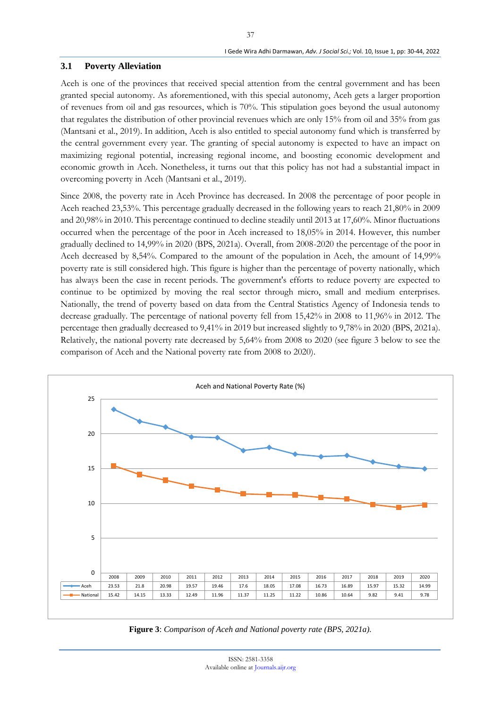### **3.1 Poverty Alleviation**

Aceh is one of the provinces that received special attention from the central government and has been granted special autonomy. As aforementioned, with this special autonomy, Aceh gets a larger proportion of revenues from oil and gas resources, which is 70%. This stipulation goes beyond the usual autonomy that regulates the distribution of other provincial revenues which are only 15% from oil and 35% from gas (Mantsani et al., 2019). In addition, Aceh is also entitled to special autonomy fund which is transferred by the central government every year. The granting of special autonomy is expected to have an impact on maximizing regional potential, increasing regional income, and boosting economic development and economic growth in Aceh. Nonetheless, it turns out that this policy has not had a substantial impact in overcoming poverty in Aceh (Mantsani et al., 2019).

Since 2008, the poverty rate in Aceh Province has decreased. In 2008 the percentage of poor people in Aceh reached 23,53%. This percentage gradually decreased in the following years to reach 21,80% in 2009 and 20,98% in 2010. This percentage continued to decline steadily until 2013 at 17,60%. Minor fluctuations occurred when the percentage of the poor in Aceh increased to 18,05% in 2014. However, this number gradually declined to 14,99% in 2020 (BPS, 2021a). Overall, from 2008-2020 the percentage of the poor in Aceh decreased by 8,54%. Compared to the amount of the population in Aceh, the amount of 14,99% poverty rate is still considered high. This figure is higher than the percentage of poverty nationally, which has always been the case in recent periods. The government's efforts to reduce poverty are expected to continue to be optimized by moving the real sector through micro, small and medium enterprises. Nationally, the trend of poverty based on data from the Central Statistics Agency of Indonesia tends to decrease gradually. The percentage of national poverty fell from 15,42% in 2008 to 11,96% in 2012. The percentage then gradually decreased to 9,41% in 2019 but increased slightly to 9,78% in 2020 (BPS, 2021a). Relatively, the national poverty rate decreased by 5,64% from 2008 to 2020 (see figure 3 below to see the comparison of Aceh and the National poverty rate from 2008 to 2020).



**Figure 3**: *Comparison of Aceh and National poverty rate (BPS, 2021a).*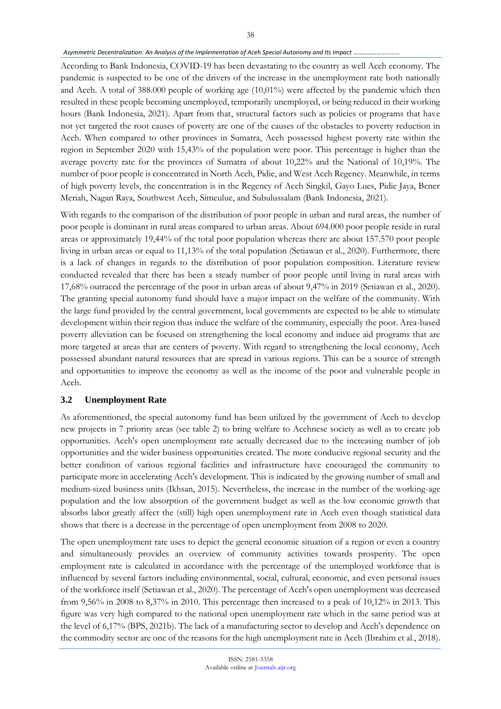#### Asymmetric Decentralization: An Analysis of the Implementation of Aceh Special Autonomy and Its Impact *..*.

According to Bank Indonesia, COVID-19 has been devastating to the country as well Aceh economy. The pandemic is suspected to be one of the drivers of the increase in the unemployment rate both nationally and Aceh. A total of 388.000 people of working age (10,01%) were affected by the pandemic which then resulted in these people becoming unemployed, temporarily unemployed, or being reduced in their working hours (Bank Indonesia, 2021). Apart from that, structural factors such as policies or programs that have not yet targeted the root causes of poverty are one of the causes of the obstacles to poverty reduction in Aceh. When compared to other provinces in Sumatra, Aceh possessed highest poverty rate within the region in September 2020 with 15,43% of the population were poor. This percentage is higher than the average poverty rate for the provinces of Sumatra of about 10,22% and the National of 10,19%. The number of poor people is concentrated in North Aceh, Pidie, and West Aceh Regency. Meanwhile, in terms of high poverty levels, the concentration is in the Regency of Aceh Singkil, Gayo Lues, Pidie Jaya, Bener Meriah, Nagan Raya, Southwest Aceh, Simeulue, and Subulussalam (Bank Indonesia, 2021).

With regards to the comparison of the distribution of poor people in urban and rural areas, the number of poor people is dominant in rural areas compared to urban areas. About 694.000 poor people reside in rural areas or approximately 19,44% of the total poor population whereas there are about 157.570 poor people living in urban areas or equal to 11,13% of the total population (Setiawan et al., 2020). Furthermore, there is a lack of changes in regards to the distribution of poor population composition. Literature review conducted revealed that there has been a steady number of poor people until living in rural areas with 17,68% outraced the percentage of the poor in urban areas of about 9,47% in 2019 (Setiawan et al., 2020). The granting special autonomy fund should have a major impact on the welfare of the community. With the large fund provided by the central government, local governments are expected to be able to stimulate development within their region thus induce the welfare of the community, especially the poor. Area-based poverty alleviation can be focused on strengthening the local economy and induce aid programs that are more targeted at areas that are centers of poverty. With regard to strengthening the local economy, Aceh possessed abundant natural resources that are spread in various regions. This can be a source of strength and opportunities to improve the economy as well as the income of the poor and vulnerable people in Aceh.

### **3.2 Unemployment Rate**

As aforementioned, the special autonomy fund has been utilized by the government of Aceh to develop new projects in 7 priority areas (see table 2) to bring welfare to Acehnese society as well as to create job opportunities. Aceh's open unemployment rate actually decreased due to the increasing number of job opportunities and the wider business opportunities created. The more conducive regional security and the better condition of various regional facilities and infrastructure have encouraged the community to participate more in accelerating Aceh's development. This is indicated by the growing number of small and medium-sized business units (Ikhsan, 2015). Nevertheless, the increase in the number of the working-age population and the low absorption of the government budget as well as the low economic growth that absorbs labor greatly affect the (still) high open unemployment rate in Aceh even though statistical data shows that there is a decrease in the percentage of open unemployment from 2008 to 2020.

The open unemployment rate uses to depict the general economic situation of a region or even a country and simultaneously provides an overview of community activities towards prosperity. The open employment rate is calculated in accordance with the percentage of the unemployed workforce that is influenced by several factors including environmental, social, cultural, economic, and even personal issues of the workforce itself (Setiawan et al., 2020). The percentage of Aceh's open unemployment was decreased from 9,56% in 2008 to 8,37% in 2010. This percentage then increased to a peak of 10,12% in 2013. This figure was very high compared to the national open unemployment rate which in the same period was at the level of 6,17% (BPS, 2021b). The lack of a manufacturing sector to develop and Aceh's dependence on the commodity sector are one of the reasons for the high unemployment rate in Aceh (Ibrahim et al., 2018).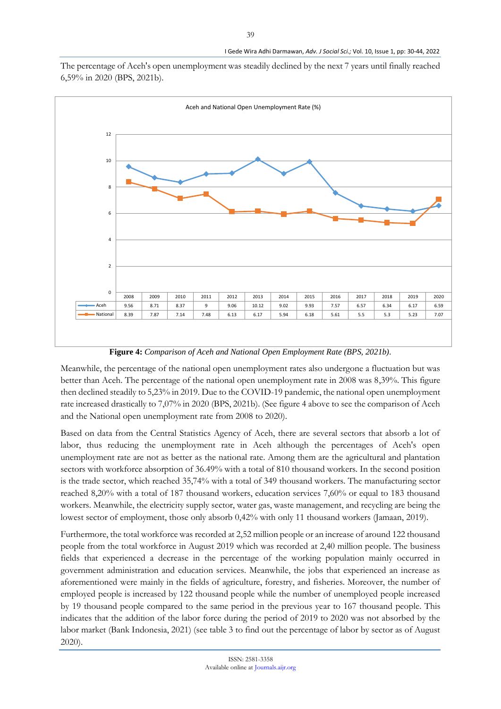The percentage of Aceh's open unemployment was steadily declined by the next 7 years until finally reached 6,59% in 2020 (BPS, 2021b).



**Figure 4:** *Comparison of Aceh and National Open Employment Rate (BPS, 2021b).*

Meanwhile, the percentage of the national open unemployment rates also undergone a fluctuation but was better than Aceh. The percentage of the national open unemployment rate in 2008 was 8,39%. This figure then declined steadily to 5,23% in 2019. Due to the COVID-19 pandemic, the national open unemployment rate increased drastically to 7,07% in 2020 (BPS, 2021b). (See figure 4 above to see the comparison of Aceh and the National open unemployment rate from 2008 to 2020).

Based on data from the Central Statistics Agency of Aceh, there are several sectors that absorb a lot of labor, thus reducing the unemployment rate in Aceh although the percentages of Aceh's open unemployment rate are not as better as the national rate. Among them are the agricultural and plantation sectors with workforce absorption of 36.49% with a total of 810 thousand workers. In the second position is the trade sector, which reached 35,74% with a total of 349 thousand workers. The manufacturing sector reached 8,20% with a total of 187 thousand workers, education services 7,60% or equal to 183 thousand workers. Meanwhile, the electricity supply sector, water gas, waste management, and recycling are being the lowest sector of employment, those only absorb 0,42% with only 11 thousand workers (Jamaan, 2019).

Furthermore, the total workforce was recorded at 2,52 million people or an increase of around 122 thousand people from the total workforce in August 2019 which was recorded at 2,40 million people. The business fields that experienced a decrease in the percentage of the working population mainly occurred in government administration and education services. Meanwhile, the jobs that experienced an increase as aforementioned were mainly in the fields of agriculture, forestry, and fisheries. Moreover, the number of employed people is increased by 122 thousand people while the number of unemployed people increased by 19 thousand people compared to the same period in the previous year to 167 thousand people. This indicates that the addition of the labor force during the period of 2019 to 2020 was not absorbed by the labor market (Bank Indonesia, 2021) (see table 3 to find out the percentage of labor by sector as of August 2020).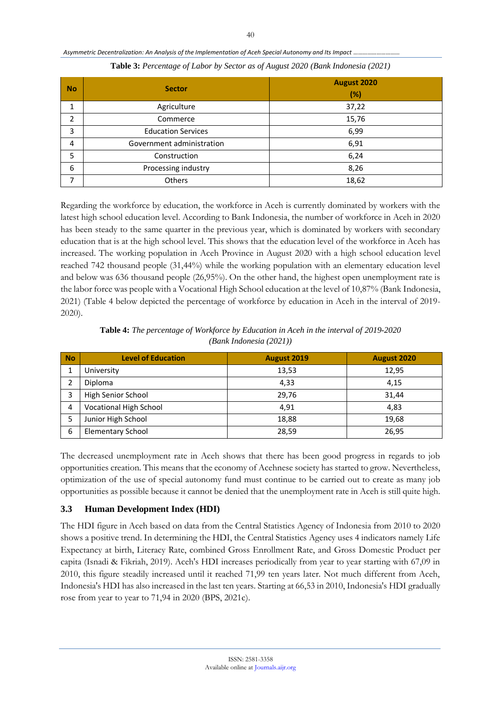| <b>No</b> | <b>Sector</b>             | August 2020<br>(%) |
|-----------|---------------------------|--------------------|
| 1         | Agriculture               | 37,22              |
| 2         | Commerce                  | 15,76              |
| 3         | <b>Education Services</b> | 6,99               |
| 4         | Government administration | 6,91               |
| 5         | Construction              | 6,24               |
| 6         | Processing industry       | 8,26               |
| 7         | Others                    | 18,62              |

*Asymmetric Decentralization: An Analysis of the Implementation of Aceh Special Autonomy and Its Impact …………………………*

| Table 3: Percentage of Labor by Sector as of August 2020 (Bank Indonesia (2021) |  |  |  |  |  |
|---------------------------------------------------------------------------------|--|--|--|--|--|
|---------------------------------------------------------------------------------|--|--|--|--|--|

Regarding the workforce by education, the workforce in Aceh is currently dominated by workers with the latest high school education level. According to Bank Indonesia, the number of workforce in Aceh in 2020 has been steady to the same quarter in the previous year, which is dominated by workers with secondary education that is at the high school level. This shows that the education level of the workforce in Aceh has increased. The working population in Aceh Province in August 2020 with a high school education level reached 742 thousand people (31,44%) while the working population with an elementary education level and below was 636 thousand people (26,95%). On the other hand, the highest open unemployment rate is the labor force was people with a Vocational High School education at the level of 10,87% (Bank Indonesia, 2021) (Table 4 below depicted the percentage of workforce by education in Aceh in the interval of 2019- 2020).

| <b>Table 4:</b> The percentage of Workforce by Education in Aceh in the interval of 2019-2020 |
|-----------------------------------------------------------------------------------------------|
| $(Bank\ Indonesia\ (2021))$                                                                   |

| <b>No</b> | <b>Level of Education</b>     | <b>August 2019</b> | August 2020 |
|-----------|-------------------------------|--------------------|-------------|
|           | University                    | 13,53              | 12,95       |
| 2         | Diploma                       | 4,33               | 4,15        |
| 3         | High Senior School            | 29,76              | 31,44       |
| 4         | <b>Vocational High School</b> | 4.91               | 4,83        |
|           | Junior High School            | 18,88              | 19,68       |
| 6         | <b>Elementary School</b>      | 28,59              | 26,95       |

The decreased unemployment rate in Aceh shows that there has been good progress in regards to job opportunities creation. This means that the economy of Acehnese society has started to grow. Nevertheless, optimization of the use of special autonomy fund must continue to be carried out to create as many job opportunities as possible because it cannot be denied that the unemployment rate in Aceh is still quite high.

# **3.3 Human Development Index (HDI)**

The HDI figure in Aceh based on data from the Central Statistics Agency of Indonesia from 2010 to 2020 shows a positive trend. In determining the HDI, the Central Statistics Agency uses 4 indicators namely Life Expectancy at birth, Literacy Rate, combined Gross Enrollment Rate, and Gross Domestic Product per capita (Isnadi & Fikriah, 2019). Aceh's HDI increases periodically from year to year starting with 67,09 in 2010, this figure steadily increased until it reached 71,99 ten years later. Not much different from Aceh, Indonesia's HDI has also increased in the last ten years. Starting at 66,53 in 2010, Indonesia's HDI gradually rose from year to year to 71,94 in 2020 (BPS, 2021c).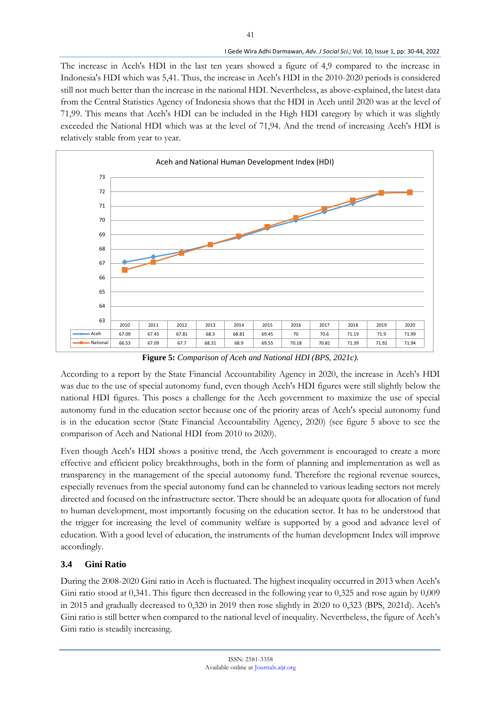The increase in Aceh's HDI in the last ten years showed a figure of 4,9 compared to the increase in Indonesia's HDI which was 5,41. Thus, the increase in Aceh's HDI in the 2010-2020 periods is considered still not much better than the increase in the national HDI. Nevertheless, as above-explained, the latest data from the Central Statistics Agency of Indonesia shows that the HDI in Aceh until 2020 was at the level of 71,99. This means that Aceh's HDI can be included in the High HDI category by which it was slightly exceeded the National HDI which was at the level of 71,94. And the trend of increasing Aceh's HDI is relatively stable from year to year.

41



**Figure 5:** *Comparison of Aceh and National HDI (BPS, 2021c).*

According to a report by the State Financial Accountability Agency in 2020, the increase in Aceh's HDI was due to the use of special autonomy fund, even though Aceh's HDI figures were still slightly below the national HDI figures. This poses a challenge for the Aceh government to maximize the use of special autonomy fund in the education sector because one of the priority areas of Aceh's special autonomy fund is in the education sector (State Financial Accountability Agency, 2020) (see figure 5 above to see the comparison of Aceh and National HDI from 2010 to 2020).

Even though Aceh's HDI shows a positive trend, the Aceh government is encouraged to create a more effective and efficient policy breakthroughs, both in the form of planning and implementation as well as transparency in the management of the special autonomy fund. Therefore the regional revenue sources, especially revenues from the special autonomy fund can be channeled to various leading sectors not merely directed and focused on the infrastructure sector. There should be an adequate quota for allocation of fund to human development, most importantly focusing on the education sector. It has to be understood that the trigger for increasing the level of community welfare is supported by a good and advance level of education. With a good level of education, the instruments of the human development Index will improve accordingly.

## **3.4 Gini Ratio**

During the 2008-2020 Gini ratio in Aceh is fluctuated. The highest inequality occurred in 2013 when Aceh's Gini ratio stood at 0,341. This figure then decreased in the following year to 0,325 and rose again by 0,009 in 2015 and gradually decreased to 0,320 in 2019 then rose slightly in 2020 to 0,323 (BPS, 2021d). Aceh's Gini ratio is still better when compared to the national level of inequality. Nevertheless, the figure of Aceh's Gini ratio is steadily increasing.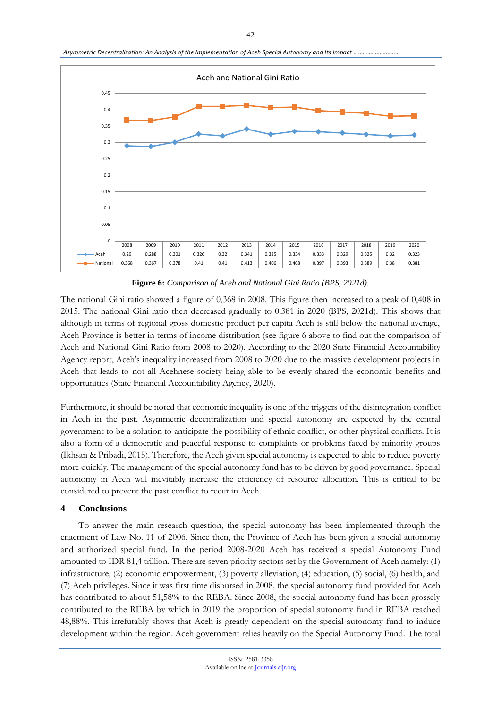Asymmetric Decentralization: An Analysis of the Implementation of Aceh Special Autonomy and Its Impact *.*.



**Figure 6:** *Comparison of Aceh and National Gini Ratio (BPS, 2021d).*

The national Gini ratio showed a figure of 0,368 in 2008. This figure then increased to a peak of 0,408 in 2015. The national Gini ratio then decreased gradually to 0.381 in 2020 (BPS, 2021d). This shows that although in terms of regional gross domestic product per capita Aceh is still below the national average, Aceh Province is better in terms of income distribution (see figure 6 above to find out the comparison of Aceh and National Gini Ratio from 2008 to 2020). According to the 2020 State Financial Accountability Agency report, Aceh's inequality increased from 2008 to 2020 due to the massive development projects in Aceh that leads to not all Acehnese society being able to be evenly shared the economic benefits and opportunities (State Financial Accountability Agency, 2020).

Furthermore, it should be noted that economic inequality is one of the triggers of the disintegration conflict in Aceh in the past. Asymmetric decentralization and special autonomy are expected by the central government to be a solution to anticipate the possibility of ethnic conflict, or other physical conflicts. It is also a form of a democratic and peaceful response to complaints or problems faced by minority groups (Ikhsan & Pribadi, 2015). Therefore, the Aceh given special autonomy is expected to able to reduce poverty more quickly. The management of the special autonomy fund has to be driven by good governance. Special autonomy in Aceh will inevitably increase the efficiency of resource allocation. This is critical to be considered to prevent the past conflict to recur in Aceh.

### **4 Conclusions**

To answer the main research question, the special autonomy has been implemented through the enactment of Law No. 11 of 2006. Since then, the Province of Aceh has been given a special autonomy and authorized special fund. In the period 2008-2020 Aceh has received a special Autonomy Fund amounted to IDR 81,4 trillion. There are seven priority sectors set by the Government of Aceh namely: (1) infrastructure, (2) economic empowerment, (3) poverty alleviation, (4) education, (5) social, (6) health, and (7) Aceh privileges. Since it was first time disbursed in 2008, the special autonomy fund provided for Aceh has contributed to about 51,58% to the REBA. Since 2008, the special autonomy fund has been grossely contributed to the REBA by which in 2019 the proportion of special autonomy fund in REBA reached 48,88%. This irrefutably shows that Aceh is greatly dependent on the special autonomy fund to induce development within the region. Aceh government relies heavily on the Special Autonomy Fund. The total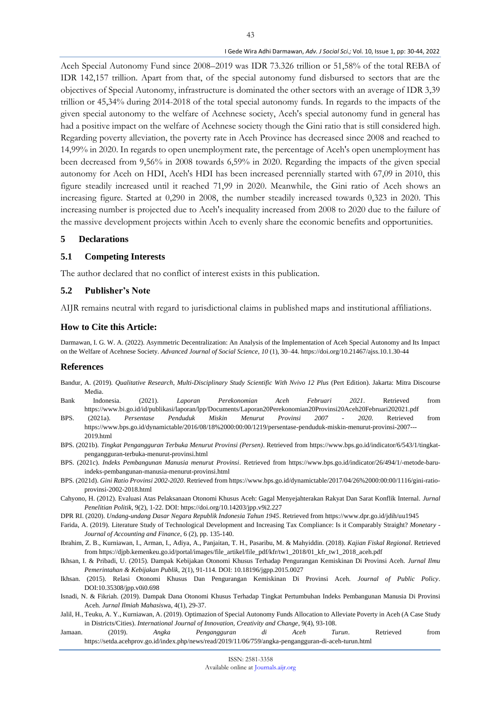Aceh Special Autonomy Fund since 2008–2019 was IDR 73.326 trillion or 51,58% of the total REBA of IDR 142,157 trillion. Apart from that, of the special autonomy fund disbursed to sectors that are the objectives of Special Autonomy, infrastructure is dominated the other sectors with an average of IDR 3,39 trillion or 45,34% during 2014-2018 of the total special autonomy funds. In regards to the impacts of the given special autonomy to the welfare of Acehnese society, Aceh's special autonomy fund in general has had a positive impact on the welfare of Acehnese society though the Gini ratio that is still considered high. Regarding poverty alleviation, the poverty rate in Aceh Province has decreased since 2008 and reached to 14,99% in 2020. In regards to open unemployment rate, the percentage of Aceh's open unemployment has been decreased from 9,56% in 2008 towards 6,59% in 2020. Regarding the impacts of the given special autonomy for Aceh on HDI, Aceh's HDI has been increased perennially started with 67,09 in 2010, this figure steadily increased until it reached 71,99 in 2020. Meanwhile, the Gini ratio of Aceh shows an increasing figure. Started at 0,290 in 2008, the number steadily increased towards 0,323 in 2020. This increasing number is projected due to Aceh's inequality increased from 2008 to 2020 due to the failure of the massive development projects within Aceh to evenly share the economic benefits and opportunities.

### **5 Declarations**

#### **5.1 Competing Interests**

The author declared that no conflict of interest exists in this publication.

### **5.2 Publisher's Note**

AIJR remains neutral with regard to jurisdictional claims in published maps and institutional affiliations.

### **How to Cite this Article:**

Darmawan, I. G. W. A. (2022). Asymmetric Decentralization: An Analysis of the Implementation of Aceh Special Autonomy and Its Impact on the Welfare of Acehnese Society. *Advanced Journal of Social Science*, *10* (1), 30–44. https://doi.org/10.21467/ajss.10.1.30-44

### **References**

- Bandur, A. (2019). *Qualitative Research, Multi-Disciplinary Study Scientific With Nvivo 12 Plus* (Pert Edition). Jakarta: Mitra Discourse Media.
- Bank Indonesia. (2021). *Laporan Perekonomian Aceh Februari 2021*. Retrieved from https://www.bi.go.id/id/publikasi/laporan/lpp/Documents/Laporan20Perekonomian20Provinsi20Aceh20Februari202021.pdf
- BPS. (2021a). *Persentase Penduduk Miskin Menurut Provinsi 2007 - 2020*. Retrieved from https://www.bps.go.id/dynamictable/2016/08/18%2000:00:00/1219/persentase-penduduk-miskin-menurut-provinsi-2007--- 2019.html
- BPS. (2021b). *Tingkat Pengangguran Terbuka Menurut Provinsi (Persen)*. Retrieved from https://www.bps.go.id/indicator/6/543/1/tingkatpengangguran-terbuka-menurut-provinsi.html
- BPS. (2021c). *Indeks Pembangunan Manusia menurut Provinsi*. Retrieved from https://www.bps.go.id/indicator/26/494/1/-metode-baruindeks-pembangunan-manusia-menurut-provinsi.html
- BPS. (2021d). *Gini Ratio Provinsi 2002-2020*. Retrieved from https://www.bps.go.id/dynamictable/2017/04/26%2000:00:00/1116/gini-ratioprovinsi-2002-2018.html
- Cahyono, H. (2012). Evaluasi Atas Pelaksanaan Otonomi Khusus Aceh: Gagal Menyejahterakan Rakyat Dan Sarat Konflik Internal. *Jurnal Penelitian Politik*, 9(2), 1-22. DOI: https://doi.org/10.14203/jpp.v9i2.227
- DPR RI. (2020). *Undang-undang Dasar Negara Republik Indonesia Tahun 1945*. Retrieved from https://www.dpr.go.id/jdih/uu1945
- Farida, A. (2019). Literature Study of Technological Development and Increasing Tax Compliance: Is it Comparably Straight? *Monetary - Journal of Accounting and Finance*, 6 (2), pp. 135-140.
- Ibrahim, Z. B., Kurniawan, I., Arman, I., Adiya, A., Panjaitan, T. H., Pasaribu, M. & Mahyiddin. (2018). *Kajian Fiskal Regional*. Retrieved from https://djpb.kemenkeu.go.id/portal/images/file\_artikel/file\_pdf/kfr/tw1\_2018/01\_kfr\_tw1\_2018\_aceh.pdf
- Ikhsan, I. & Pribadi, U. (2015). Dampak Kebijakan Otonomi Khusus Terhadap Pengurangan Kemiskinan Di Provinsi Aceh. *Jurnal Ilmu Pemerintahan & Kebijakan Publik*, 2(1), 91-114. DOI: 10.18196/jgpp.2015.0027
- Ikhsan. (2015). Relasi Otonomi Khusus Dan Pengurangan Kemiskinan Di Provinsi Aceh. *Journal of Public Policy*. DOI:10.35308/jpp.v0i0.698
- Isnadi, N. & Fikriah. (2019). Dampak Dana Otonomi Khusus Terhadap Tingkat Pertumbuhan Indeks Pembangunan Manusia Di Provinsi Aceh. *Jurnal Ilmiah Mahasisw*a, 4(1), 29-37.
- Jalil, H., Teuku, A. Y., Kurniawan, A. (2019). Optimazion of Special Autonomy Funds Allocation to Alleviate Poverty in Aceh (A Case Study in Districts/Cities). *International Journal of Innovation, Creativity and Change*, 9(4), 93-108.
- Jamaan. (2019). *Angka Pengangguran di Aceh Turun*. Retrieved from https://setda.acehprov.go.id/index.php/news/read/2019/11/06/759/angka-pengangguran-di-aceh-turun.html